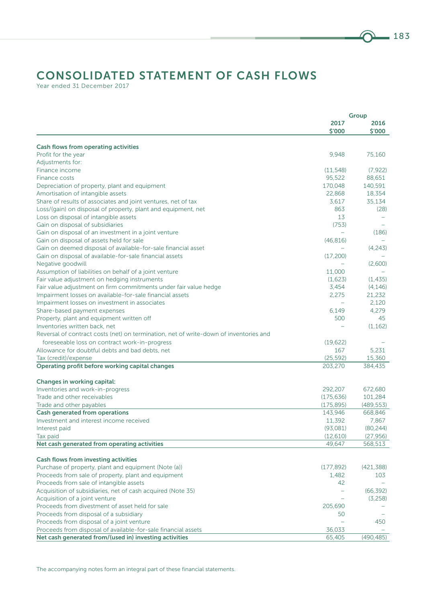## CONSOLIDATED STATEMENT OF CASH FLOWS

Year ended 31 December 2017

| 2017<br>2016<br>\$'000<br>\$′000<br><b>Cash flows from operating activities</b><br>9,948<br>Profit for the year<br>75,160<br>Adjustments for:<br>Finance income<br>(11, 548)<br>(7, 922)<br>95,522<br>88,651<br>Finance costs<br>170,048<br>140,591<br>Depreciation of property, plant and equipment<br>22,868<br>18,354<br>Amortisation of intangible assets<br>35,134<br>Share of results of associates and joint ventures, net of tax<br>3,617<br>863<br>Loss/(gain) on disposal of property, plant and equipment, net<br>(28)<br>Loss on disposal of intangible assets<br>13<br>Gain on disposal of subsidiaries<br>(753)<br>(186)<br>Gain on disposal of an investment in a joint venture<br>Gain on disposal of assets held for sale<br>(46, 816)<br>Gain on deemed disposal of available-for-sale financial asset<br>(4,243)<br>Gain on disposal of available-for-sale financial assets<br>(17,200)<br>Negative goodwill<br>(2.600)<br>11,000<br>Assumption of liabilities on behalf of a joint venture<br>(1,623)<br>(1, 435)<br>Fair value adjustment on hedging instruments<br>(4, 146)<br>Fair value adjustment on firm commitments under fair value hedge<br>3,454<br>2,275<br>21,232<br>Impairment losses on available-for-sale financial assets<br>2,120<br>Impairment losses on investment in associates<br>6,149<br>4,279<br>Share-based payment expenses<br>500<br>Property, plant and equipment written off<br>45<br>(1, 162)<br>Inventories written back, net<br>Reversal of contract costs (net) on termination, net of write-down of inventories and<br>foreseeable loss on contract work-in-progress<br>(19, 622)<br>167<br>5,231<br>Allowance for doubtful debts and bad debts, net<br>Tax (credit)/expense<br>(25, 592)<br>15,360<br>203,270<br>384,435<br>Operating profit before working capital changes<br>Changes in working capital:<br>Inventories and work-in-progress<br>292,207<br>672,680<br>Trade and other receivables<br>(175, 636)<br>101,284<br>Trade and other payables<br>(175, 895)<br>(489, 553)<br><b>Cash generated from operations</b><br>143,946<br>668,846<br>Investment and interest income received<br>11,392<br>7,867<br>(80, 244)<br>(93,081)<br>Interest paid<br>Tax paid<br>(12,610)<br>(27, 956)<br>Net cash generated from operating activities<br>49,647<br>568,513<br><b>Cash flows from investing activities</b><br>Purchase of property, plant and equipment (Note (a))<br>(177, 892)<br>(421, 388)<br>Proceeds from sale of property, plant and equipment<br>1,482<br>103<br>Proceeds from sale of intangible assets<br>42<br>Acquisition of subsidiaries, net of cash acquired (Note 35)<br>(66, 392)<br>Acquisition of a joint venture<br>(3,258)<br>Proceeds from divestment of asset held for sale<br>205,690<br>Proceeds from disposal of a subsidiary<br>50<br>Proceeds from disposal of a joint venture<br>450<br>Proceeds from disposal of available-for-sale financial assets<br>36,033<br>Net cash generated from/(used in) investing activities<br>65,405<br>(490, 485) |  | Group |
|-------------------------------------------------------------------------------------------------------------------------------------------------------------------------------------------------------------------------------------------------------------------------------------------------------------------------------------------------------------------------------------------------------------------------------------------------------------------------------------------------------------------------------------------------------------------------------------------------------------------------------------------------------------------------------------------------------------------------------------------------------------------------------------------------------------------------------------------------------------------------------------------------------------------------------------------------------------------------------------------------------------------------------------------------------------------------------------------------------------------------------------------------------------------------------------------------------------------------------------------------------------------------------------------------------------------------------------------------------------------------------------------------------------------------------------------------------------------------------------------------------------------------------------------------------------------------------------------------------------------------------------------------------------------------------------------------------------------------------------------------------------------------------------------------------------------------------------------------------------------------------------------------------------------------------------------------------------------------------------------------------------------------------------------------------------------------------------------------------------------------------------------------------------------------------------------------------------------------------------------------------------------------------------------------------------------------------------------------------------------------------------------------------------------------------------------------------------------------------------------------------------------------------------------------------------------------------------------------------------------------------------------------------------------------------------------------------------------------------------------------------------------------------------------------------------------------------------------------------------------------------------------------------------------------------------------------------------------------------------------------------------------------------------------------|--|-------|
|                                                                                                                                                                                                                                                                                                                                                                                                                                                                                                                                                                                                                                                                                                                                                                                                                                                                                                                                                                                                                                                                                                                                                                                                                                                                                                                                                                                                                                                                                                                                                                                                                                                                                                                                                                                                                                                                                                                                                                                                                                                                                                                                                                                                                                                                                                                                                                                                                                                                                                                                                                                                                                                                                                                                                                                                                                                                                                                                                                                                                                                 |  |       |
|                                                                                                                                                                                                                                                                                                                                                                                                                                                                                                                                                                                                                                                                                                                                                                                                                                                                                                                                                                                                                                                                                                                                                                                                                                                                                                                                                                                                                                                                                                                                                                                                                                                                                                                                                                                                                                                                                                                                                                                                                                                                                                                                                                                                                                                                                                                                                                                                                                                                                                                                                                                                                                                                                                                                                                                                                                                                                                                                                                                                                                                 |  |       |
|                                                                                                                                                                                                                                                                                                                                                                                                                                                                                                                                                                                                                                                                                                                                                                                                                                                                                                                                                                                                                                                                                                                                                                                                                                                                                                                                                                                                                                                                                                                                                                                                                                                                                                                                                                                                                                                                                                                                                                                                                                                                                                                                                                                                                                                                                                                                                                                                                                                                                                                                                                                                                                                                                                                                                                                                                                                                                                                                                                                                                                                 |  |       |
|                                                                                                                                                                                                                                                                                                                                                                                                                                                                                                                                                                                                                                                                                                                                                                                                                                                                                                                                                                                                                                                                                                                                                                                                                                                                                                                                                                                                                                                                                                                                                                                                                                                                                                                                                                                                                                                                                                                                                                                                                                                                                                                                                                                                                                                                                                                                                                                                                                                                                                                                                                                                                                                                                                                                                                                                                                                                                                                                                                                                                                                 |  |       |
|                                                                                                                                                                                                                                                                                                                                                                                                                                                                                                                                                                                                                                                                                                                                                                                                                                                                                                                                                                                                                                                                                                                                                                                                                                                                                                                                                                                                                                                                                                                                                                                                                                                                                                                                                                                                                                                                                                                                                                                                                                                                                                                                                                                                                                                                                                                                                                                                                                                                                                                                                                                                                                                                                                                                                                                                                                                                                                                                                                                                                                                 |  |       |
|                                                                                                                                                                                                                                                                                                                                                                                                                                                                                                                                                                                                                                                                                                                                                                                                                                                                                                                                                                                                                                                                                                                                                                                                                                                                                                                                                                                                                                                                                                                                                                                                                                                                                                                                                                                                                                                                                                                                                                                                                                                                                                                                                                                                                                                                                                                                                                                                                                                                                                                                                                                                                                                                                                                                                                                                                                                                                                                                                                                                                                                 |  |       |
|                                                                                                                                                                                                                                                                                                                                                                                                                                                                                                                                                                                                                                                                                                                                                                                                                                                                                                                                                                                                                                                                                                                                                                                                                                                                                                                                                                                                                                                                                                                                                                                                                                                                                                                                                                                                                                                                                                                                                                                                                                                                                                                                                                                                                                                                                                                                                                                                                                                                                                                                                                                                                                                                                                                                                                                                                                                                                                                                                                                                                                                 |  |       |
|                                                                                                                                                                                                                                                                                                                                                                                                                                                                                                                                                                                                                                                                                                                                                                                                                                                                                                                                                                                                                                                                                                                                                                                                                                                                                                                                                                                                                                                                                                                                                                                                                                                                                                                                                                                                                                                                                                                                                                                                                                                                                                                                                                                                                                                                                                                                                                                                                                                                                                                                                                                                                                                                                                                                                                                                                                                                                                                                                                                                                                                 |  |       |
|                                                                                                                                                                                                                                                                                                                                                                                                                                                                                                                                                                                                                                                                                                                                                                                                                                                                                                                                                                                                                                                                                                                                                                                                                                                                                                                                                                                                                                                                                                                                                                                                                                                                                                                                                                                                                                                                                                                                                                                                                                                                                                                                                                                                                                                                                                                                                                                                                                                                                                                                                                                                                                                                                                                                                                                                                                                                                                                                                                                                                                                 |  |       |
|                                                                                                                                                                                                                                                                                                                                                                                                                                                                                                                                                                                                                                                                                                                                                                                                                                                                                                                                                                                                                                                                                                                                                                                                                                                                                                                                                                                                                                                                                                                                                                                                                                                                                                                                                                                                                                                                                                                                                                                                                                                                                                                                                                                                                                                                                                                                                                                                                                                                                                                                                                                                                                                                                                                                                                                                                                                                                                                                                                                                                                                 |  |       |
|                                                                                                                                                                                                                                                                                                                                                                                                                                                                                                                                                                                                                                                                                                                                                                                                                                                                                                                                                                                                                                                                                                                                                                                                                                                                                                                                                                                                                                                                                                                                                                                                                                                                                                                                                                                                                                                                                                                                                                                                                                                                                                                                                                                                                                                                                                                                                                                                                                                                                                                                                                                                                                                                                                                                                                                                                                                                                                                                                                                                                                                 |  |       |
|                                                                                                                                                                                                                                                                                                                                                                                                                                                                                                                                                                                                                                                                                                                                                                                                                                                                                                                                                                                                                                                                                                                                                                                                                                                                                                                                                                                                                                                                                                                                                                                                                                                                                                                                                                                                                                                                                                                                                                                                                                                                                                                                                                                                                                                                                                                                                                                                                                                                                                                                                                                                                                                                                                                                                                                                                                                                                                                                                                                                                                                 |  |       |
|                                                                                                                                                                                                                                                                                                                                                                                                                                                                                                                                                                                                                                                                                                                                                                                                                                                                                                                                                                                                                                                                                                                                                                                                                                                                                                                                                                                                                                                                                                                                                                                                                                                                                                                                                                                                                                                                                                                                                                                                                                                                                                                                                                                                                                                                                                                                                                                                                                                                                                                                                                                                                                                                                                                                                                                                                                                                                                                                                                                                                                                 |  |       |
|                                                                                                                                                                                                                                                                                                                                                                                                                                                                                                                                                                                                                                                                                                                                                                                                                                                                                                                                                                                                                                                                                                                                                                                                                                                                                                                                                                                                                                                                                                                                                                                                                                                                                                                                                                                                                                                                                                                                                                                                                                                                                                                                                                                                                                                                                                                                                                                                                                                                                                                                                                                                                                                                                                                                                                                                                                                                                                                                                                                                                                                 |  |       |
|                                                                                                                                                                                                                                                                                                                                                                                                                                                                                                                                                                                                                                                                                                                                                                                                                                                                                                                                                                                                                                                                                                                                                                                                                                                                                                                                                                                                                                                                                                                                                                                                                                                                                                                                                                                                                                                                                                                                                                                                                                                                                                                                                                                                                                                                                                                                                                                                                                                                                                                                                                                                                                                                                                                                                                                                                                                                                                                                                                                                                                                 |  |       |
|                                                                                                                                                                                                                                                                                                                                                                                                                                                                                                                                                                                                                                                                                                                                                                                                                                                                                                                                                                                                                                                                                                                                                                                                                                                                                                                                                                                                                                                                                                                                                                                                                                                                                                                                                                                                                                                                                                                                                                                                                                                                                                                                                                                                                                                                                                                                                                                                                                                                                                                                                                                                                                                                                                                                                                                                                                                                                                                                                                                                                                                 |  |       |
|                                                                                                                                                                                                                                                                                                                                                                                                                                                                                                                                                                                                                                                                                                                                                                                                                                                                                                                                                                                                                                                                                                                                                                                                                                                                                                                                                                                                                                                                                                                                                                                                                                                                                                                                                                                                                                                                                                                                                                                                                                                                                                                                                                                                                                                                                                                                                                                                                                                                                                                                                                                                                                                                                                                                                                                                                                                                                                                                                                                                                                                 |  |       |
|                                                                                                                                                                                                                                                                                                                                                                                                                                                                                                                                                                                                                                                                                                                                                                                                                                                                                                                                                                                                                                                                                                                                                                                                                                                                                                                                                                                                                                                                                                                                                                                                                                                                                                                                                                                                                                                                                                                                                                                                                                                                                                                                                                                                                                                                                                                                                                                                                                                                                                                                                                                                                                                                                                                                                                                                                                                                                                                                                                                                                                                 |  |       |
|                                                                                                                                                                                                                                                                                                                                                                                                                                                                                                                                                                                                                                                                                                                                                                                                                                                                                                                                                                                                                                                                                                                                                                                                                                                                                                                                                                                                                                                                                                                                                                                                                                                                                                                                                                                                                                                                                                                                                                                                                                                                                                                                                                                                                                                                                                                                                                                                                                                                                                                                                                                                                                                                                                                                                                                                                                                                                                                                                                                                                                                 |  |       |
|                                                                                                                                                                                                                                                                                                                                                                                                                                                                                                                                                                                                                                                                                                                                                                                                                                                                                                                                                                                                                                                                                                                                                                                                                                                                                                                                                                                                                                                                                                                                                                                                                                                                                                                                                                                                                                                                                                                                                                                                                                                                                                                                                                                                                                                                                                                                                                                                                                                                                                                                                                                                                                                                                                                                                                                                                                                                                                                                                                                                                                                 |  |       |
|                                                                                                                                                                                                                                                                                                                                                                                                                                                                                                                                                                                                                                                                                                                                                                                                                                                                                                                                                                                                                                                                                                                                                                                                                                                                                                                                                                                                                                                                                                                                                                                                                                                                                                                                                                                                                                                                                                                                                                                                                                                                                                                                                                                                                                                                                                                                                                                                                                                                                                                                                                                                                                                                                                                                                                                                                                                                                                                                                                                                                                                 |  |       |
|                                                                                                                                                                                                                                                                                                                                                                                                                                                                                                                                                                                                                                                                                                                                                                                                                                                                                                                                                                                                                                                                                                                                                                                                                                                                                                                                                                                                                                                                                                                                                                                                                                                                                                                                                                                                                                                                                                                                                                                                                                                                                                                                                                                                                                                                                                                                                                                                                                                                                                                                                                                                                                                                                                                                                                                                                                                                                                                                                                                                                                                 |  |       |
|                                                                                                                                                                                                                                                                                                                                                                                                                                                                                                                                                                                                                                                                                                                                                                                                                                                                                                                                                                                                                                                                                                                                                                                                                                                                                                                                                                                                                                                                                                                                                                                                                                                                                                                                                                                                                                                                                                                                                                                                                                                                                                                                                                                                                                                                                                                                                                                                                                                                                                                                                                                                                                                                                                                                                                                                                                                                                                                                                                                                                                                 |  |       |
|                                                                                                                                                                                                                                                                                                                                                                                                                                                                                                                                                                                                                                                                                                                                                                                                                                                                                                                                                                                                                                                                                                                                                                                                                                                                                                                                                                                                                                                                                                                                                                                                                                                                                                                                                                                                                                                                                                                                                                                                                                                                                                                                                                                                                                                                                                                                                                                                                                                                                                                                                                                                                                                                                                                                                                                                                                                                                                                                                                                                                                                 |  |       |
|                                                                                                                                                                                                                                                                                                                                                                                                                                                                                                                                                                                                                                                                                                                                                                                                                                                                                                                                                                                                                                                                                                                                                                                                                                                                                                                                                                                                                                                                                                                                                                                                                                                                                                                                                                                                                                                                                                                                                                                                                                                                                                                                                                                                                                                                                                                                                                                                                                                                                                                                                                                                                                                                                                                                                                                                                                                                                                                                                                                                                                                 |  |       |
|                                                                                                                                                                                                                                                                                                                                                                                                                                                                                                                                                                                                                                                                                                                                                                                                                                                                                                                                                                                                                                                                                                                                                                                                                                                                                                                                                                                                                                                                                                                                                                                                                                                                                                                                                                                                                                                                                                                                                                                                                                                                                                                                                                                                                                                                                                                                                                                                                                                                                                                                                                                                                                                                                                                                                                                                                                                                                                                                                                                                                                                 |  |       |
|                                                                                                                                                                                                                                                                                                                                                                                                                                                                                                                                                                                                                                                                                                                                                                                                                                                                                                                                                                                                                                                                                                                                                                                                                                                                                                                                                                                                                                                                                                                                                                                                                                                                                                                                                                                                                                                                                                                                                                                                                                                                                                                                                                                                                                                                                                                                                                                                                                                                                                                                                                                                                                                                                                                                                                                                                                                                                                                                                                                                                                                 |  |       |
|                                                                                                                                                                                                                                                                                                                                                                                                                                                                                                                                                                                                                                                                                                                                                                                                                                                                                                                                                                                                                                                                                                                                                                                                                                                                                                                                                                                                                                                                                                                                                                                                                                                                                                                                                                                                                                                                                                                                                                                                                                                                                                                                                                                                                                                                                                                                                                                                                                                                                                                                                                                                                                                                                                                                                                                                                                                                                                                                                                                                                                                 |  |       |
|                                                                                                                                                                                                                                                                                                                                                                                                                                                                                                                                                                                                                                                                                                                                                                                                                                                                                                                                                                                                                                                                                                                                                                                                                                                                                                                                                                                                                                                                                                                                                                                                                                                                                                                                                                                                                                                                                                                                                                                                                                                                                                                                                                                                                                                                                                                                                                                                                                                                                                                                                                                                                                                                                                                                                                                                                                                                                                                                                                                                                                                 |  |       |
|                                                                                                                                                                                                                                                                                                                                                                                                                                                                                                                                                                                                                                                                                                                                                                                                                                                                                                                                                                                                                                                                                                                                                                                                                                                                                                                                                                                                                                                                                                                                                                                                                                                                                                                                                                                                                                                                                                                                                                                                                                                                                                                                                                                                                                                                                                                                                                                                                                                                                                                                                                                                                                                                                                                                                                                                                                                                                                                                                                                                                                                 |  |       |
|                                                                                                                                                                                                                                                                                                                                                                                                                                                                                                                                                                                                                                                                                                                                                                                                                                                                                                                                                                                                                                                                                                                                                                                                                                                                                                                                                                                                                                                                                                                                                                                                                                                                                                                                                                                                                                                                                                                                                                                                                                                                                                                                                                                                                                                                                                                                                                                                                                                                                                                                                                                                                                                                                                                                                                                                                                                                                                                                                                                                                                                 |  |       |
|                                                                                                                                                                                                                                                                                                                                                                                                                                                                                                                                                                                                                                                                                                                                                                                                                                                                                                                                                                                                                                                                                                                                                                                                                                                                                                                                                                                                                                                                                                                                                                                                                                                                                                                                                                                                                                                                                                                                                                                                                                                                                                                                                                                                                                                                                                                                                                                                                                                                                                                                                                                                                                                                                                                                                                                                                                                                                                                                                                                                                                                 |  |       |
|                                                                                                                                                                                                                                                                                                                                                                                                                                                                                                                                                                                                                                                                                                                                                                                                                                                                                                                                                                                                                                                                                                                                                                                                                                                                                                                                                                                                                                                                                                                                                                                                                                                                                                                                                                                                                                                                                                                                                                                                                                                                                                                                                                                                                                                                                                                                                                                                                                                                                                                                                                                                                                                                                                                                                                                                                                                                                                                                                                                                                                                 |  |       |
|                                                                                                                                                                                                                                                                                                                                                                                                                                                                                                                                                                                                                                                                                                                                                                                                                                                                                                                                                                                                                                                                                                                                                                                                                                                                                                                                                                                                                                                                                                                                                                                                                                                                                                                                                                                                                                                                                                                                                                                                                                                                                                                                                                                                                                                                                                                                                                                                                                                                                                                                                                                                                                                                                                                                                                                                                                                                                                                                                                                                                                                 |  |       |
|                                                                                                                                                                                                                                                                                                                                                                                                                                                                                                                                                                                                                                                                                                                                                                                                                                                                                                                                                                                                                                                                                                                                                                                                                                                                                                                                                                                                                                                                                                                                                                                                                                                                                                                                                                                                                                                                                                                                                                                                                                                                                                                                                                                                                                                                                                                                                                                                                                                                                                                                                                                                                                                                                                                                                                                                                                                                                                                                                                                                                                                 |  |       |
|                                                                                                                                                                                                                                                                                                                                                                                                                                                                                                                                                                                                                                                                                                                                                                                                                                                                                                                                                                                                                                                                                                                                                                                                                                                                                                                                                                                                                                                                                                                                                                                                                                                                                                                                                                                                                                                                                                                                                                                                                                                                                                                                                                                                                                                                                                                                                                                                                                                                                                                                                                                                                                                                                                                                                                                                                                                                                                                                                                                                                                                 |  |       |
|                                                                                                                                                                                                                                                                                                                                                                                                                                                                                                                                                                                                                                                                                                                                                                                                                                                                                                                                                                                                                                                                                                                                                                                                                                                                                                                                                                                                                                                                                                                                                                                                                                                                                                                                                                                                                                                                                                                                                                                                                                                                                                                                                                                                                                                                                                                                                                                                                                                                                                                                                                                                                                                                                                                                                                                                                                                                                                                                                                                                                                                 |  |       |
|                                                                                                                                                                                                                                                                                                                                                                                                                                                                                                                                                                                                                                                                                                                                                                                                                                                                                                                                                                                                                                                                                                                                                                                                                                                                                                                                                                                                                                                                                                                                                                                                                                                                                                                                                                                                                                                                                                                                                                                                                                                                                                                                                                                                                                                                                                                                                                                                                                                                                                                                                                                                                                                                                                                                                                                                                                                                                                                                                                                                                                                 |  |       |
|                                                                                                                                                                                                                                                                                                                                                                                                                                                                                                                                                                                                                                                                                                                                                                                                                                                                                                                                                                                                                                                                                                                                                                                                                                                                                                                                                                                                                                                                                                                                                                                                                                                                                                                                                                                                                                                                                                                                                                                                                                                                                                                                                                                                                                                                                                                                                                                                                                                                                                                                                                                                                                                                                                                                                                                                                                                                                                                                                                                                                                                 |  |       |
|                                                                                                                                                                                                                                                                                                                                                                                                                                                                                                                                                                                                                                                                                                                                                                                                                                                                                                                                                                                                                                                                                                                                                                                                                                                                                                                                                                                                                                                                                                                                                                                                                                                                                                                                                                                                                                                                                                                                                                                                                                                                                                                                                                                                                                                                                                                                                                                                                                                                                                                                                                                                                                                                                                                                                                                                                                                                                                                                                                                                                                                 |  |       |
|                                                                                                                                                                                                                                                                                                                                                                                                                                                                                                                                                                                                                                                                                                                                                                                                                                                                                                                                                                                                                                                                                                                                                                                                                                                                                                                                                                                                                                                                                                                                                                                                                                                                                                                                                                                                                                                                                                                                                                                                                                                                                                                                                                                                                                                                                                                                                                                                                                                                                                                                                                                                                                                                                                                                                                                                                                                                                                                                                                                                                                                 |  |       |
|                                                                                                                                                                                                                                                                                                                                                                                                                                                                                                                                                                                                                                                                                                                                                                                                                                                                                                                                                                                                                                                                                                                                                                                                                                                                                                                                                                                                                                                                                                                                                                                                                                                                                                                                                                                                                                                                                                                                                                                                                                                                                                                                                                                                                                                                                                                                                                                                                                                                                                                                                                                                                                                                                                                                                                                                                                                                                                                                                                                                                                                 |  |       |
|                                                                                                                                                                                                                                                                                                                                                                                                                                                                                                                                                                                                                                                                                                                                                                                                                                                                                                                                                                                                                                                                                                                                                                                                                                                                                                                                                                                                                                                                                                                                                                                                                                                                                                                                                                                                                                                                                                                                                                                                                                                                                                                                                                                                                                                                                                                                                                                                                                                                                                                                                                                                                                                                                                                                                                                                                                                                                                                                                                                                                                                 |  |       |
|                                                                                                                                                                                                                                                                                                                                                                                                                                                                                                                                                                                                                                                                                                                                                                                                                                                                                                                                                                                                                                                                                                                                                                                                                                                                                                                                                                                                                                                                                                                                                                                                                                                                                                                                                                                                                                                                                                                                                                                                                                                                                                                                                                                                                                                                                                                                                                                                                                                                                                                                                                                                                                                                                                                                                                                                                                                                                                                                                                                                                                                 |  |       |
|                                                                                                                                                                                                                                                                                                                                                                                                                                                                                                                                                                                                                                                                                                                                                                                                                                                                                                                                                                                                                                                                                                                                                                                                                                                                                                                                                                                                                                                                                                                                                                                                                                                                                                                                                                                                                                                                                                                                                                                                                                                                                                                                                                                                                                                                                                                                                                                                                                                                                                                                                                                                                                                                                                                                                                                                                                                                                                                                                                                                                                                 |  |       |
|                                                                                                                                                                                                                                                                                                                                                                                                                                                                                                                                                                                                                                                                                                                                                                                                                                                                                                                                                                                                                                                                                                                                                                                                                                                                                                                                                                                                                                                                                                                                                                                                                                                                                                                                                                                                                                                                                                                                                                                                                                                                                                                                                                                                                                                                                                                                                                                                                                                                                                                                                                                                                                                                                                                                                                                                                                                                                                                                                                                                                                                 |  |       |
|                                                                                                                                                                                                                                                                                                                                                                                                                                                                                                                                                                                                                                                                                                                                                                                                                                                                                                                                                                                                                                                                                                                                                                                                                                                                                                                                                                                                                                                                                                                                                                                                                                                                                                                                                                                                                                                                                                                                                                                                                                                                                                                                                                                                                                                                                                                                                                                                                                                                                                                                                                                                                                                                                                                                                                                                                                                                                                                                                                                                                                                 |  |       |
|                                                                                                                                                                                                                                                                                                                                                                                                                                                                                                                                                                                                                                                                                                                                                                                                                                                                                                                                                                                                                                                                                                                                                                                                                                                                                                                                                                                                                                                                                                                                                                                                                                                                                                                                                                                                                                                                                                                                                                                                                                                                                                                                                                                                                                                                                                                                                                                                                                                                                                                                                                                                                                                                                                                                                                                                                                                                                                                                                                                                                                                 |  |       |
|                                                                                                                                                                                                                                                                                                                                                                                                                                                                                                                                                                                                                                                                                                                                                                                                                                                                                                                                                                                                                                                                                                                                                                                                                                                                                                                                                                                                                                                                                                                                                                                                                                                                                                                                                                                                                                                                                                                                                                                                                                                                                                                                                                                                                                                                                                                                                                                                                                                                                                                                                                                                                                                                                                                                                                                                                                                                                                                                                                                                                                                 |  |       |
|                                                                                                                                                                                                                                                                                                                                                                                                                                                                                                                                                                                                                                                                                                                                                                                                                                                                                                                                                                                                                                                                                                                                                                                                                                                                                                                                                                                                                                                                                                                                                                                                                                                                                                                                                                                                                                                                                                                                                                                                                                                                                                                                                                                                                                                                                                                                                                                                                                                                                                                                                                                                                                                                                                                                                                                                                                                                                                                                                                                                                                                 |  |       |
|                                                                                                                                                                                                                                                                                                                                                                                                                                                                                                                                                                                                                                                                                                                                                                                                                                                                                                                                                                                                                                                                                                                                                                                                                                                                                                                                                                                                                                                                                                                                                                                                                                                                                                                                                                                                                                                                                                                                                                                                                                                                                                                                                                                                                                                                                                                                                                                                                                                                                                                                                                                                                                                                                                                                                                                                                                                                                                                                                                                                                                                 |  |       |
|                                                                                                                                                                                                                                                                                                                                                                                                                                                                                                                                                                                                                                                                                                                                                                                                                                                                                                                                                                                                                                                                                                                                                                                                                                                                                                                                                                                                                                                                                                                                                                                                                                                                                                                                                                                                                                                                                                                                                                                                                                                                                                                                                                                                                                                                                                                                                                                                                                                                                                                                                                                                                                                                                                                                                                                                                                                                                                                                                                                                                                                 |  |       |